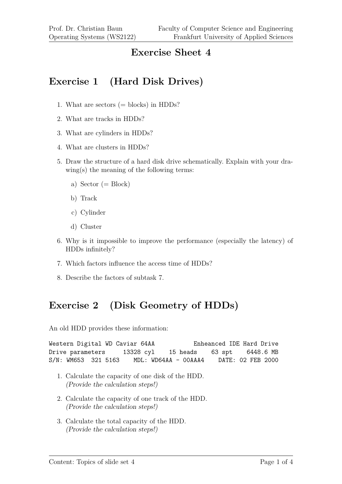#### **Exercise Sheet 4**

## **Exercise 1 (Hard Disk Drives)**

- 1. What are sectors  $(=$  blocks) in HDDs?
- 2. What are tracks in HDDs?
- 3. What are cylinders in HDDs?
- 4. What are clusters in HDDs?
- 5. Draw the structure of a hard disk drive schematically. Explain with your drawing(s) the meaning of the following terms:
	- a) Sector  $(= Block)$
	- b) Track
	- c) Cylinder
	- d) Cluster
- 6. Why is it impossible to improve the performance (especially the latency) of HDDs infinitely?
- 7. Which factors influence the access time of HDDs?
- 8. Describe the factors of subtask 7.

## **Exercise 2 (Disk Geometry of HDDs)**

An old HDD provides these information:

```
Western Digital WD Caviar 64AA Enheanced IDE Hard Drive
Drive parameters 13328 cyl 15 heads 63 spt 6448.6 MB
S/N: WM653 321 5163 MDL: WD64AA - 00AAA4 DATE: 02 FEB 2000
```
- 1. Calculate the capacity of one disk of the HDD. (Provide the calculation steps!)
- 2. Calculate the capacity of one track of the HDD. (Provide the calculation steps!)
- 3. Calculate the total capacity of the HDD. (Provide the calculation steps!)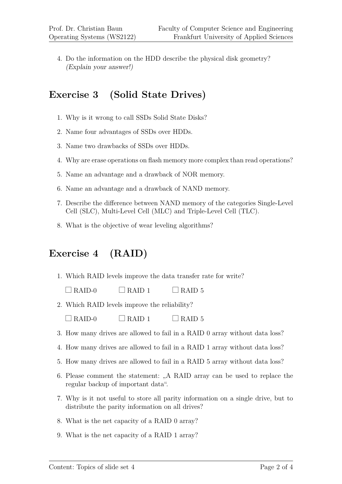4. Do the information on the HDD describe the physical disk geometry? (Explain your answer!)

### **Exercise 3 (Solid State Drives)**

- 1. Why is it wrong to call SSDs Solid State Disks?
- 2. Name four advantages of SSDs over HDDs.
- 3. Name two drawbacks of SSDs over HDDs.
- 4. Why are erase operations on flash memory more complex than read operations?
- 5. Name an advantage and a drawback of NOR memory.
- 6. Name an advantage and a drawback of NAND memory.
- 7. Describe the difference between NAND memory of the categories Single-Level Cell (SLC), Multi-Level Cell (MLC) and Triple-Level Cell (TLC).
- 8. What is the objective of wear leveling algorithms?

## **Exercise 4 (RAID)**

1. Which RAID levels improve the data transfer rate for write?

 $\Box$  RAID-0  $\Box$  RAID 1  $\Box$  RAID 5

- 2. Which RAID levels improve the reliability?
	- $\Box$  RAID-0  $\Box$  RAID 1  $\Box$  RAID 5
- 3. How many drives are allowed to fail in a RAID 0 array without data loss?
- 4. How many drives are allowed to fail in a RAID 1 array without data loss?
- 5. How many drives are allowed to fail in a RAID 5 array without data loss?
- 6. Please comment the statement:  $A$ , RAID array can be used to replace the regular backup of important data".
- 7. Why is it not useful to store all parity information on a single drive, but to distribute the parity information on all drives?
- 8. What is the net capacity of a RAID 0 array?
- 9. What is the net capacity of a RAID 1 array?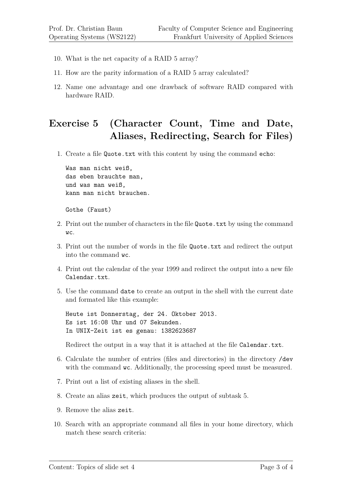- 10. What is the net capacity of a RAID 5 array?
- 11. How are the parity information of a RAID 5 array calculated?
- 12. Name one advantage and one drawback of software RAID compared with hardware RAID.

# **Exercise 5 (Character Count, Time and Date, Aliases, Redirecting, Search for Files)**

1. Create a file Quote.txt with this content by using the command echo:

Was man nicht weiß, das eben brauchte man, und was man weiß, kann man nicht brauchen.

Gothe (Faust)

- 2. Print out the number of characters in the file Quote.txt by using the command wc.
- 3. Print out the number of words in the file Quote.txt and redirect the output into the command wc.
- 4. Print out the calendar of the year 1999 and redirect the output into a new file Calendar.txt.
- 5. Use the command date to create an output in the shell with the current date and formated like this example:

Heute ist Donnerstag, der 24. Oktober 2013. Es ist 16:08 Uhr und 07 Sekunden. In UNIX-Zeit ist es genau: 1382623687

Redirect the output in a way that it is attached at the file Calendar.txt.

- 6. Calculate the number of entries (files and directories) in the directory /dev with the command wc. Additionally, the processing speed must be measured.
- 7. Print out a list of existing aliases in the shell.
- 8. Create an alias zeit, which produces the output of subtask 5.
- 9. Remove the alias zeit.
- 10. Search with an appropriate command all files in your home directory, which match these search criteria: